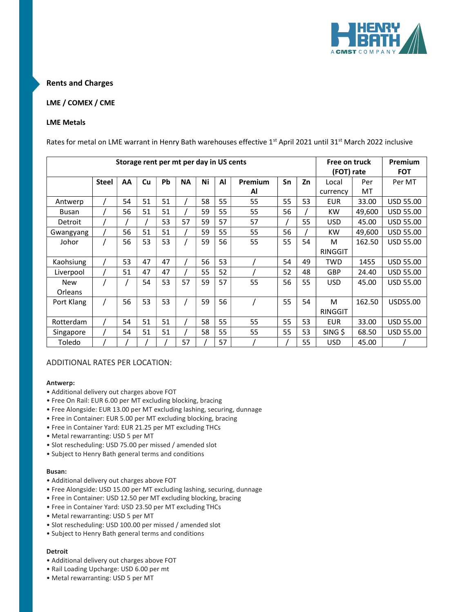

### Rents and Charges

### LME / COMEX / CME

### LME Metals

Rates for metal on LME warrant in Henry Bath warehouses effective 1<sup>st</sup> April 2021 until 31<sup>st</sup> March 2022 inclusive

| Storage rent per mt per day in US cents |              |    |    |           |           |    | Free on truck<br>(FOT) rate |         | Premium<br><b>FOT</b> |    |            |        |                  |
|-----------------------------------------|--------------|----|----|-----------|-----------|----|-----------------------------|---------|-----------------------|----|------------|--------|------------------|
|                                         | <b>Steel</b> | AA | Cu | <b>Pb</b> | <b>NA</b> | Ni | Al                          | Premium | Sn                    | Zn | Local      | Per    | Per MT           |
|                                         |              |    |    |           |           |    |                             | Al      |                       |    | currency   | MT     |                  |
| Antwerp                                 |              | 54 | 51 | 51        |           | 58 | 55                          | 55      | 55                    | 53 | <b>EUR</b> | 33.00  | <b>USD 55.00</b> |
| <b>Busan</b>                            |              | 56 | 51 | 51        |           | 59 | 55                          | 55      | 56                    |    | <b>KW</b>  | 49,600 | <b>USD 55.00</b> |
| Detroit                                 |              |    |    | 53        | 57        | 59 | 57                          | 57      |                       | 55 | <b>USD</b> | 45.00  | <b>USD 55.00</b> |
| Gwangyang                               |              | 56 | 51 | 51        |           | 59 | 55                          | 55      | 56                    |    | <b>KW</b>  | 49,600 | <b>USD 55.00</b> |
| Johor                                   |              | 56 | 53 | 53        |           | 59 | 56                          | 55      | 55                    | 54 | м          | 162.50 | USD 55.00        |
|                                         |              |    |    |           |           |    |                             |         |                       |    | RINGGIT    |        |                  |
| Kaohsiung                               |              | 53 | 47 | 47        |           | 56 | 53                          |         | 54                    | 49 | <b>TWD</b> | 1455   | <b>USD 55.00</b> |
| Liverpool                               |              | 51 | 47 | 47        |           | 55 | 52                          |         | 52                    | 48 | <b>GBP</b> | 24.40  | <b>USD 55.00</b> |
| <b>New</b>                              |              |    | 54 | 53        | 57        | 59 | 57                          | 55      | 56                    | 55 | <b>USD</b> | 45.00  | <b>USD 55.00</b> |
| Orleans                                 |              |    |    |           |           |    |                             |         |                       |    |            |        |                  |
| Port Klang                              |              | 56 | 53 | 53        |           | 59 | 56                          |         | 55                    | 54 | M          | 162.50 | USD55.00         |
|                                         |              |    |    |           |           |    |                             |         |                       |    | RINGGIT    |        |                  |
| Rotterdam                               |              | 54 | 51 | 51        |           | 58 | 55                          | 55      | 55                    | 53 | <b>EUR</b> | 33.00  | <b>USD 55.00</b> |
| Singapore                               |              | 54 | 51 | 51        |           | 58 | 55                          | 55      | 55                    | 53 | SING \$    | 68.50  | <b>USD 55.00</b> |
| Toledo                                  |              |    |    |           | 57        |    | 57                          |         |                       | 55 | <b>USD</b> | 45.00  |                  |

### ADDITIONAL RATES PER LOCATION:

#### Antwerp:

- Additional delivery out charges above FOT
- Free On Rail: EUR 6.00 per MT excluding blocking, bracing
- Free Alongside: EUR 13.00 per MT excluding lashing, securing, dunnage
- Free in Container: EUR 5.00 per MT excluding blocking, bracing
- Free in Container Yard: EUR 21.25 per MT excluding THCs
- Metal rewarranting: USD 5 per MT
- Slot rescheduling: USD 75.00 per missed / amended slot
- Subject to Henry Bath general terms and conditions

#### Busan:

- Additional delivery out charges above FOT
- Free Alongside: USD 15.00 per MT excluding lashing, securing, dunnage
- Free in Container: USD 12.50 per MT excluding blocking, bracing
- Free in Container Yard: USD 23.50 per MT excluding THCs
- Metal rewarranting: USD 5 per MT
- Slot rescheduling: USD 100.00 per missed / amended slot
- Subject to Henry Bath general terms and conditions

#### Detroit

- Additional delivery out charges above FOT
- Rail Loading Upcharge: USD 6.00 per mt
- Metal rewarranting: USD 5 per MT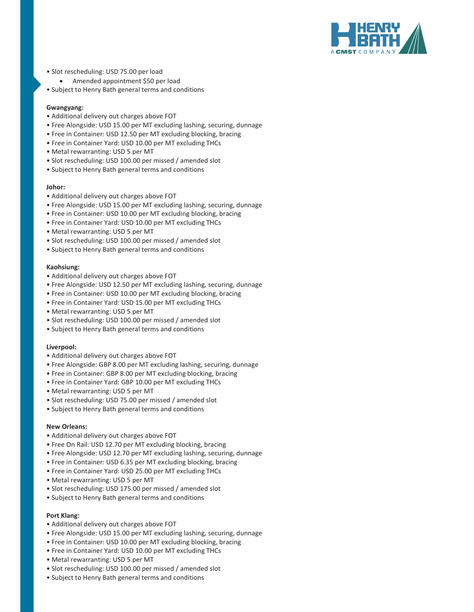

- Slot rescheduling: USD 75.00 per load
	- Amended appointment \$50 per load
- Subject to Henry Bath general terms and conditions

#### Gwangyang:

- Additional delivery out charges above FOT
- Free Alongside: USD 15.00 per MT excluding lashing, securing, dunnage
- Free in Container: USD 12.50 per MT excluding blocking, bracing
- Free in Container Yard: USD 10.00 per MT excluding THCs
- Metal rewarranting: USD 5 per MT
- Slot rescheduling: USD 100.00 per missed / amended slot
- Subject to Henry Bath general terms and conditions

#### Johor:

- Additional delivery out charges above FOT
- Free Alongside: USD 15.00 per MT excluding lashing, securing, dunnage
- Free in Container: USD 10.00 per MT excluding blocking, bracing
- Free in Container Yard: USD 10.00 per MT excluding THCs
- Metal rewarranting: USD 5 per MT
- Slot rescheduling: USD 100.00 per missed / amended slot
- Subject to Henry Bath general terms and conditions

#### Kaohsiung:

- Additional delivery out charges above FOT
- Free Alongside: USD 12.50 per MT excluding lashing, securing, dunnage
- Free in Container: USD 10.00 per MT excluding blocking, bracing
- Free in Container Yard: USD 15.00 per MT excluding THCs
- Metal rewarranting: USD 5 per MT
- Slot rescheduling: USD 100.00 per missed / amended slot
- Subject to Henry Bath general terms and conditions

#### Liverpool:

- Additional delivery out charges above FOT
- Free Alongside: GBP 8.00 per MT excluding lashing, securing, dunnage
- Free in Container: GBP 8.00 per MT excluding blocking, bracing
- Free in Container Yard: GBP 10.00 per MT excluding THCs
- Metal rewarranting: USD 5 per MT
- Slot rescheduling: USD 75.00 per missed / amended slot
- Subject to Henry Bath general terms and conditions

#### New Orleans:

- Additional delivery out charges above FOT
- Free On Rail: USD 12.70 per MT excluding blocking, bracing
- Free Alongside: USD 12.70 per MT excluding lashing, securing, dunnage
- Free in Container: USD 6.35 per MT excluding blocking, bracing
- Free in Container Yard: USD 25.00 per MT excluding THCs
- Metal rewarranting: USD 5 per MT
- Slot rescheduling: USD 175.00 per missed / amended slot
- Subject to Henry Bath general terms and conditions

#### Port Klang:

- Additional delivery out charges above FOT
- Free Alongside: USD 15.00 per MT excluding lashing, securing, dunnage
- Free in Container: USD 10.00 per MT excluding blocking, bracing
- Free in Container Yard: USD 10.00 per MT excluding THCs
- Metal rewarranting: USD 5 per MT
- Slot rescheduling: USD 100.00 per missed / amended slot
- Subject to Henry Bath general terms and conditions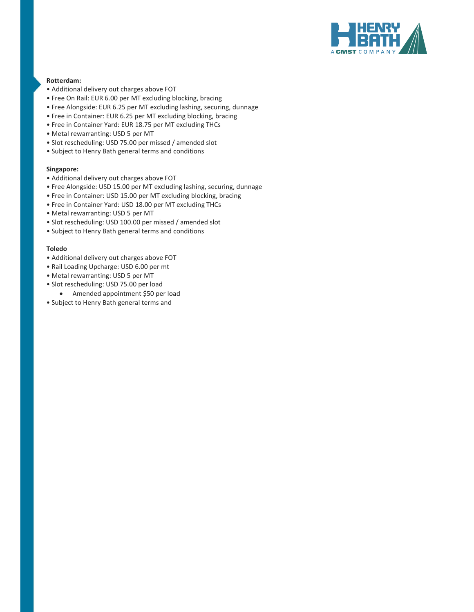

### Rotterdam:

- Additional delivery out charges above FOT
- Free On Rail: EUR 6.00 per MT excluding blocking, bracing
- Free Alongside: EUR 6.25 per MT excluding lashing, securing, dunnage
- Free in Container: EUR 6.25 per MT excluding blocking, bracing
- Free in Container Yard: EUR 18.75 per MT excluding THCs
- Metal rewarranting: USD 5 per MT
- Slot rescheduling: USD 75.00 per missed / amended slot
- Subject to Henry Bath general terms and conditions

#### Singapore:

- Additional delivery out charges above FOT
- Free Alongside: USD 15.00 per MT excluding lashing, securing, dunnage
- Free in Container: USD 15.00 per MT excluding blocking, bracing
- Free in Container Yard: USD 18.00 per MT excluding THCs
- Metal rewarranting: USD 5 per MT
- Slot rescheduling: USD 100.00 per missed / amended slot
- Subject to Henry Bath general terms and conditions

#### Toledo

- Additional delivery out charges above FOT
- Rail Loading Upcharge: USD 6.00 per mt
- Metal rewarranting: USD 5 per MT
- Slot rescheduling: USD 75.00 per load
	- Amended appointment \$50 per load
- Subject to Henry Bath general terms and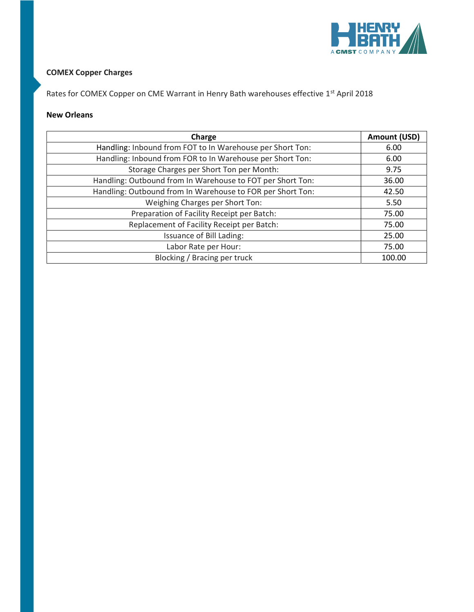

### COMEX Copper Charges

Rates for COMEX Copper on CME Warrant in Henry Bath warehouses effective 1st April 2018

### New Orleans

| Charge                                                     | <b>Amount (USD)</b> |
|------------------------------------------------------------|---------------------|
| Handling: Inbound from FOT to In Warehouse per Short Ton:  | 6.00                |
| Handling: Inbound from FOR to In Warehouse per Short Ton:  | 6.00                |
| Storage Charges per Short Ton per Month:                   | 9.75                |
| Handling: Outbound from In Warehouse to FOT per Short Ton: | 36.00               |
| Handling: Outbound from In Warehouse to FOR per Short Ton: | 42.50               |
| Weighing Charges per Short Ton:                            | 5.50                |
| Preparation of Facility Receipt per Batch:                 | 75.00               |
| Replacement of Facility Receipt per Batch:                 | 75.00               |
| Issuance of Bill Lading:                                   | 25.00               |
| Labor Rate per Hour:                                       | 75.00               |
| Blocking / Bracing per truck                               | 100.00              |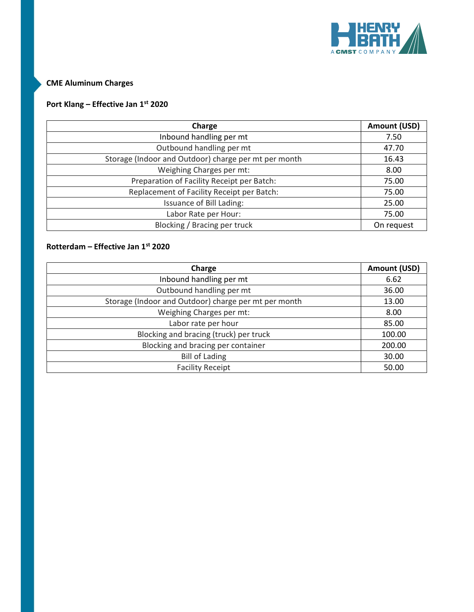

## CME Aluminum Charges

# Port Klang – Effective Jan 1st 2020

| Charge                                               | Amount (USD) |
|------------------------------------------------------|--------------|
| Inbound handling per mt                              | 7.50         |
| Outbound handling per mt                             | 47.70        |
| Storage (Indoor and Outdoor) charge per mt per month | 16.43        |
| Weighing Charges per mt:                             | 8.00         |
| Preparation of Facility Receipt per Batch:           | 75.00        |
| Replacement of Facility Receipt per Batch:           | 75.00        |
| Issuance of Bill Lading:                             | 25.00        |
| Labor Rate per Hour:                                 | 75.00        |
| Blocking / Bracing per truck                         | On request   |

## Rotterdam – Effective Jan 1st 2020

| Charge                                               | Amount (USD) |
|------------------------------------------------------|--------------|
| Inbound handling per mt                              | 6.62         |
| Outbound handling per mt                             | 36.00        |
| Storage (Indoor and Outdoor) charge per mt per month | 13.00        |
| Weighing Charges per mt:                             | 8.00         |
| Labor rate per hour                                  | 85.00        |
| Blocking and bracing (truck) per truck               | 100.00       |
| Blocking and bracing per container                   | 200.00       |
| <b>Bill of Lading</b>                                | 30.00        |
| <b>Facility Receipt</b>                              | 50.00        |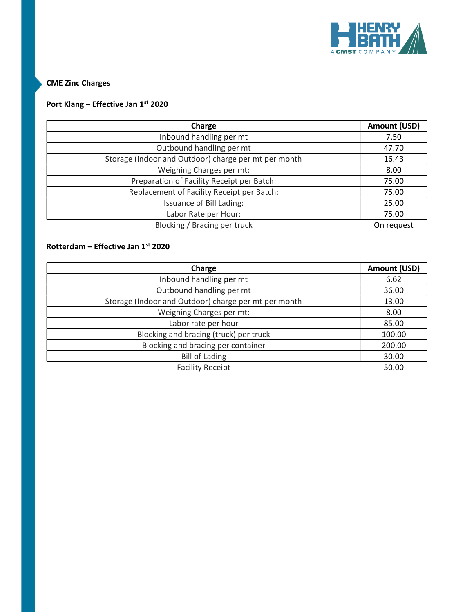

CME Zinc Charges

# Port Klang – Effective Jan 1st 2020

| Charge                                               | Amount (USD) |
|------------------------------------------------------|--------------|
| Inbound handling per mt                              | 7.50         |
| Outbound handling per mt                             | 47.70        |
| Storage (Indoor and Outdoor) charge per mt per month | 16.43        |
| Weighing Charges per mt:                             | 8.00         |
| Preparation of Facility Receipt per Batch:           | 75.00        |
| Replacement of Facility Receipt per Batch:           | 75.00        |
| Issuance of Bill Lading:                             | 25.00        |
| Labor Rate per Hour:                                 | 75.00        |
| Blocking / Bracing per truck                         | On request   |

## Rotterdam – Effective Jan 1st 2020

| Charge                                               | Amount (USD) |
|------------------------------------------------------|--------------|
| Inbound handling per mt                              | 6.62         |
| Outbound handling per mt                             | 36.00        |
| Storage (Indoor and Outdoor) charge per mt per month | 13.00        |
| Weighing Charges per mt:                             | 8.00         |
| Labor rate per hour                                  | 85.00        |
| Blocking and bracing (truck) per truck               | 100.00       |
| Blocking and bracing per container                   | 200.00       |
| <b>Bill of Lading</b>                                | 30.00        |
| <b>Facility Receipt</b>                              | 50.00        |